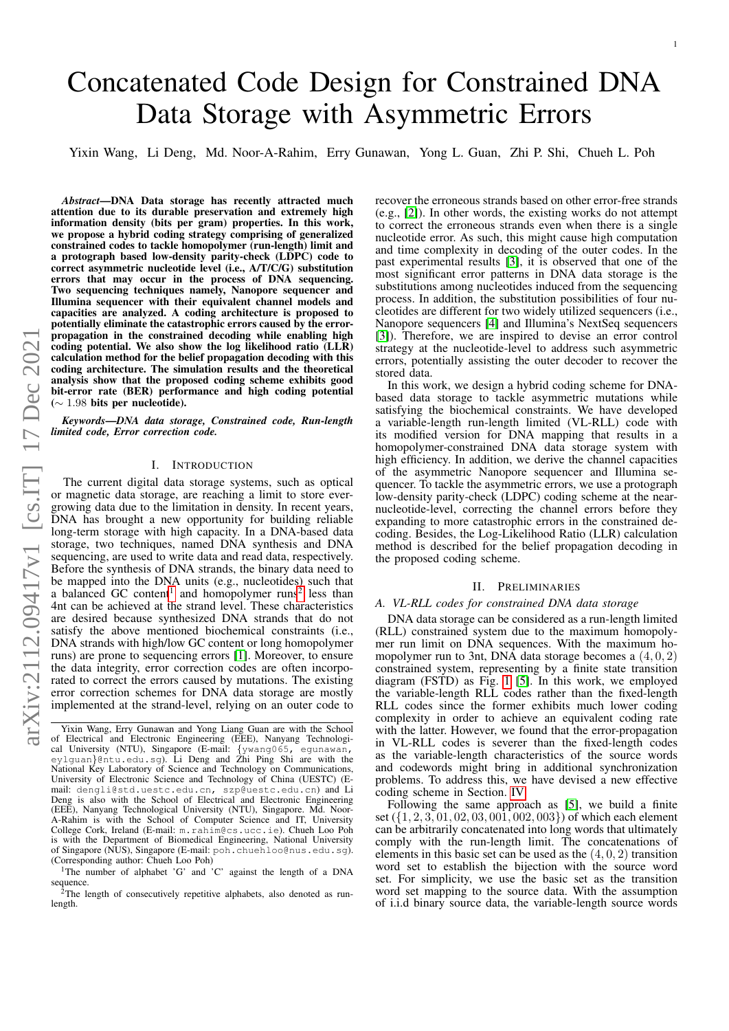# Concatenated Code Design for Constrained DNA Data Storage with Asymmetric Errors

Yixin Wang, Li Deng, Md. Noor-A-Rahim, Erry Gunawan, Yong L. Guan, Zhi P. Shi, Chueh L. Poh

*Abstract*—DNA Data storage has recently attracted much attention due to its durable preservation and extremely high information density (bits per gram) properties. In this work, we propose a hybrid coding strategy comprising of generalized constrained codes to tackle homopolymer (run-length) limit and a protograph based low-density parity-check (LDPC) code to correct asymmetric nucleotide level (i.e., A/T/C/G) substitution errors that may occur in the process of DNA sequencing. Two sequencing techniques namely, Nanopore sequencer and Illumina sequencer with their equivalent channel models and capacities are analyzed. A coding architecture is proposed to potentially eliminate the catastrophic errors caused by the errorpropagation in the constrained decoding while enabling high coding potential. We also show the log likelihood ratio (LLR) calculation method for the belief propagation decoding with this coding architecture. The simulation results and the theoretical analysis show that the proposed coding scheme exhibits good bit-error rate (BER) performance and high coding potential  $(∼ 1.98$  bits per nucleotide).

*Keywords*—*DNA data storage, Constrained code, Run-length limited code, Error correction code.*

## I. INTRODUCTION

The current digital data storage systems, such as optical or magnetic data storage, are reaching a limit to store evergrowing data due to the limitation in density. In recent years, DNA has brought a new opportunity for building reliable long-term storage with high capacity. In a DNA-based data storage, two techniques, named DNA synthesis and DNA sequencing, are used to write data and read data, respectively. Before the synthesis of DNA strands, the binary data need to be mapped into the DNA units (e.g., nucleotides) such that a balanced GC content<sup>[1](#page-0-0)</sup> and homopolymer runs<sup>[2](#page-0-1)</sup> less than 4nt can be achieved at the strand level. These characteristics are desired because synthesized DNA strands that do not satisfy the above mentioned biochemical constraints (i.e., DNA strands with high/low GC content or long homopolymer runs) are prone to sequencing errors [\[1\]](#page-5-0). Moreover, to ensure the data integrity, error correction codes are often incorporated to correct the errors caused by mutations. The existing error correction schemes for DNA data storage are mostly implemented at the strand-level, relying on an outer code to recover the erroneous strands based on other error-free strands (e.g., [\[2\]](#page-5-1)). In other words, the existing works do not attempt to correct the erroneous strands even when there is a single nucleotide error. As such, this might cause high computation and time complexity in decoding of the outer codes. In the past experimental results [\[3\]](#page-5-2), it is observed that one of the most significant error patterns in DNA data storage is the substitutions among nucleotides induced from the sequencing process. In addition, the substitution possibilities of four nucleotides are different for two widely utilized sequencers (i.e., Nanopore sequencers [\[4\]](#page-5-3) and Illumina's NextSeq sequencers [\[3\]](#page-5-2)). Therefore, we are inspired to devise an error control strategy at the nucleotide-level to address such asymmetric errors, potentially assisting the outer decoder to recover the stored data.

In this work, we design a hybrid coding scheme for DNAbased data storage to tackle asymmetric mutations while satisfying the biochemical constraints. We have developed a variable-length run-length limited (VL-RLL) code with its modified version for DNA mapping that results in a homopolymer-constrained DNA data storage system with high efficiency. In addition, we derive the channel capacities of the asymmetric Nanopore sequencer and Illumina sequencer. To tackle the asymmetric errors, we use a protograph low-density parity-check (LDPC) coding scheme at the nearnucleotide-level, correcting the channel errors before they expanding to more catastrophic errors in the constrained decoding. Besides, the Log-Likelihood Ratio (LLR) calculation method is described for the belief propagation decoding in the proposed coding scheme.

## II. PRELIMINARIES

### *A. VL-RLL codes for constrained DNA data storage*

DNA data storage can be considered as a run-length limited (RLL) constrained system due to the maximum homopolymer run limit on DNA sequences. With the maximum homopolymer run to 3nt, DNA data storage becomes a  $(4, 0, 2)$ constrained system, representing by a finite state transition diagram (FSTD) as Fig. [1](#page-1-0) [\[5\]](#page-5-4). In this work, we employed the variable-length RLL codes rather than the fixed-length RLL codes since the former exhibits much lower coding complexity in order to achieve an equivalent coding rate with the latter. However, we found that the error-propagation in VL-RLL codes is severer than the fixed-length codes as the variable-length characteristics of the source words and codewords might bring in additional synchronization problems. To address this, we have devised a new effective coding scheme in Section. [IV.](#page-1-1)

Following the same approach as [\[5\]](#page-5-4), we build a finite set ({1, 2, 3, 01, 02, 03, 001, 002, 003}) of which each element can be arbitrarily concatenated into long words that ultimately comply with the run-length limit. The concatenations of elements in this basic set can be used as the  $(4, 0, 2)$  transition word set to establish the bijection with the source word set. For simplicity, we use the basic set as the transition word set mapping to the source data. With the assumption of i.i.d binary source data, the variable-length source words

Yixin Wang, Erry Gunawan and Yong Liang Guan are with the School of Electrical and Electronic Engineering (EEE), Nanyang Technologi-cal University (NTU), Singapore (E-mail: {ywang065, egunawan, eylguan}@ntu.edu.sg). Li Deng and Zhi Ping Shi are with the National Key Laboratory of Science and Technology on Communications, University of Electronic Science and Technology of China (UESTC) (Email: dengli@std.uestc.edu.cn, szp@uestc.edu.cn) and Li Deng is also with the School of Electrical and Electronic Engineering (EEE), Nanyang Technological University (NTU), Singapore. Md. Noor-A-Rahim is with the School of Computer Science and IT, University College Cork, Ireland (E-mail: m.rahim@cs.ucc.ie). Chueh Loo Poh is with the Department of Biomedical Engineering, National University of Singapore (NUS), Singapore (E-mail: poh.chuehloo@nus.edu.sg). (Corresponding author: Chueh Loo Poh)

<span id="page-0-0"></span><sup>&</sup>lt;sup>1</sup>The number of alphabet 'G' and 'C' against the length of a DNA sequence.

<span id="page-0-1"></span><sup>&</sup>lt;sup>2</sup>The length of consecutively repetitive alphabets, also denoted as runlength.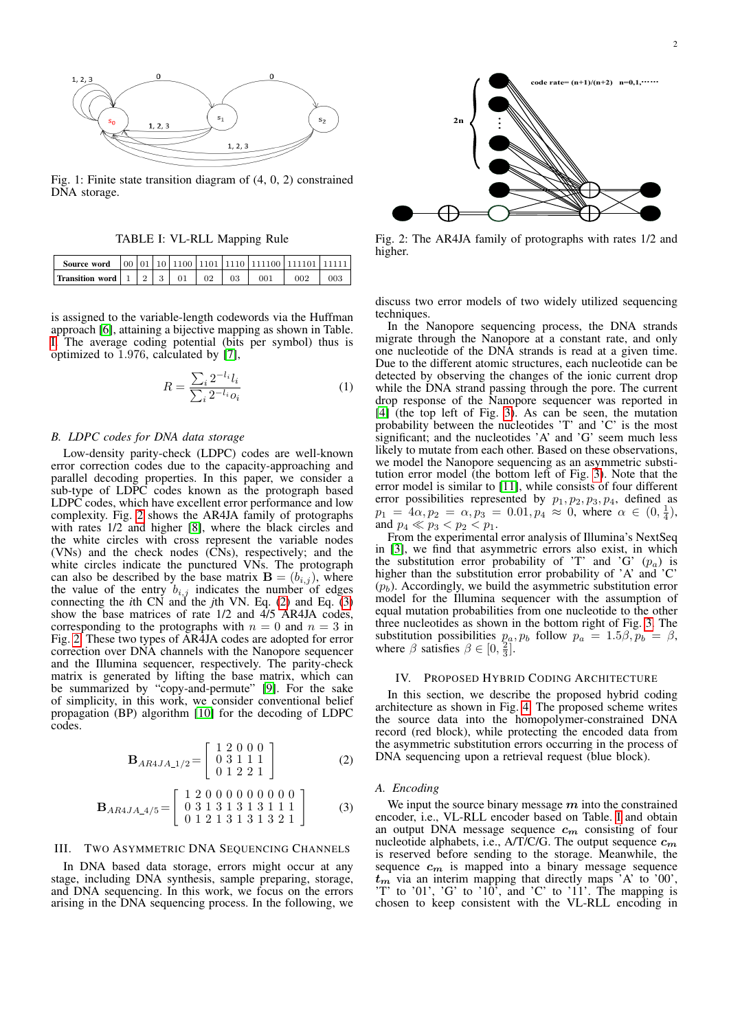<span id="page-1-0"></span>

Fig. 1: Finite state transition diagram of (4, 0, 2) constrained DNA storage.

TABLE I: VL-RLL Mapping Rule

<span id="page-1-2"></span>

| Source word                              |  |  |    |     |     |  |
|------------------------------------------|--|--|----|-----|-----|--|
| <b>Transition word</b> $1 \mid 2 \mid 3$ |  |  | 03 | 001 | ററാ |  |

is assigned to the variable-length codewords via the Huffman approach [\[6\]](#page-5-5), attaining a bijective mapping as shown in Table. [I.](#page-1-2) The average coding potential (bits per symbol) thus is optimized to 1.976, calculated by [\[7\]](#page-5-6),

<span id="page-1-6"></span>
$$
R = \frac{\sum_{i} 2^{-l_i} l_i}{\sum_{i} 2^{-l_i} o_i} \tag{1}
$$

## *B. LDPC codes for DNA data storage*

Low-density parity-check (LDPC) codes are well-known error correction codes due to the capacity-approaching and parallel decoding properties. In this paper, we consider a sub-type of LDPC codes known as the protograph based LDPC codes, which have excellent error performance and low complexity. Fig. [2](#page-1-3) shows the AR4JA family of protographs with rates 1/2 and higher [\[8\]](#page-5-7), where the black circles and the white circles with cross represent the variable nodes (VNs) and the check nodes (CNs), respectively; and the white circles indicate the punctured VNs. The protograph can also be described by the base matrix  $\mathbf{B} = (b_{i,j})$ , where the value of the entry  $b_{i,j}$  indicates the number of edges connecting the *i*th CN and the *j*th VN. Eq. [\(2\)](#page-1-4) and Eq. [\(3\)](#page-1-5) show the base matrices of rate 1/2 and 4/5 AR4JA codes, corresponding to the protographs with  $n = 0$  and  $n = 3$  in Fig. [2.](#page-1-3) These two types of AR4JA codes are adopted for error correction over DNA channels with the Nanopore sequencer and the Illumina sequencer, respectively. The parity-check matrix is generated by lifting the base matrix, which can be summarized by "copy-and-permute" [\[9\]](#page-5-8). For the sake of simplicity, in this work, we consider conventional belief propagation (BP) algorithm [\[10\]](#page-5-9) for the decoding of LDPC codes.

<span id="page-1-4"></span>
$$
\mathbf{B}_{AR4JA_1/2} = \left[ \begin{array}{rrr} 1 & 2 & 0 & 0 & 0 \\ 0 & 3 & 1 & 1 & 1 \\ 0 & 1 & 2 & 2 & 1 \end{array} \right] \tag{2}
$$

<span id="page-1-5"></span>
$$
\mathbf{B}_{AR4JA\_4/5} = \left[ \begin{array}{rrr} 1 & 2 & 0 & 0 & 0 & 0 & 0 & 0 & 0 & 0 \\ 0 & 3 & 1 & 3 & 1 & 3 & 1 & 1 & 1 \\ 0 & 1 & 2 & 1 & 3 & 1 & 3 & 2 & 1 \end{array} \right] \tag{3}
$$

## III. TWO ASYMMETRIC DNA SEQUENCING CHANNELS

In DNA based data storage, errors might occur at any stage, including DNA synthesis, sample preparing, storage, and DNA sequencing. In this work, we focus on the errors arising in the DNA sequencing process. In the following, we

<span id="page-1-3"></span>

Fig. 2: The AR4JA family of protographs with rates 1/2 and higher.

discuss two error models of two widely utilized sequencing techniques.

In the Nanopore sequencing process, the DNA strands migrate through the Nanopore at a constant rate, and only one nucleotide of the DNA strands is read at a given time. Due to the different atomic structures, each nucleotide can be detected by observing the changes of the ionic current drop while the DNA strand passing through the pore. The current drop response of the Nanopore sequencer was reported in [\[4\]](#page-5-3) (the top left of Fig. [3\)](#page-2-0). As can be seen, the mutation probability between the nucleotides 'T' and 'C' is the most significant; and the nucleotides 'A' and 'G' seem much less likely to mutate from each other. Based on these observations, we model the Nanopore sequencing as an asymmetric substitution error model (the bottom left of Fig. [3\)](#page-2-0). Note that the error model is similar to [\[11\]](#page-5-10), while consists of four different error possibilities represented by  $p_1, p_2, p_3, p_4$ , defined as  $p_1 = 4\alpha, p_2 = \alpha, p_3 = 0.01, p_4 \approx 0$ , where  $\alpha \in (0, \frac{1}{4})$ , and  $p_4 \ll p_3 < p_2 < p_1$ .

From the experimental error analysis of Illumina's NextSeq in [\[3\]](#page-5-2), we find that asymmetric errors also exist, in which the substitution error probability of 'T' and 'G'  $(p_a)$  is higher than the substitution error probability of 'A' and 'C'  $(p_b)$ . Accordingly, we build the asymmetric substitution error model for the Illumina sequencer with the assumption of equal mutation probabilities from one nucleotide to the other three nucleotides as shown in the bottom right of Fig. [3.](#page-2-0) The substitution possibilities  $p_a, p_b$  follow  $p_a = 1.5\beta, p_b = \beta,$ where  $\beta$  satisfies  $\beta \in [0, \frac{2}{3}]$ .

#### IV. PROPOSED HYBRID CODING ARCHITECTURE

<span id="page-1-1"></span>In this section, we describe the proposed hybrid coding architecture as shown in Fig. [4.](#page-3-0) The proposed scheme writes the source data into the homopolymer-constrained DNA record (red block), while protecting the encoded data from the asymmetric substitution errors occurring in the process of DNA sequencing upon a retrieval request (blue block).

#### *A. Encoding*

We input the source binary message  $m$  into the constrained encoder, i.e., VL-RLL encoder based on Table. [I](#page-1-2) and obtain an output DNA message sequence  $c_m$  consisting of four nucleotide alphabets, i.e., A/T/C/G. The output sequence  $c_m$ is reserved before sending to the storage. Meanwhile, the sequence  $c_m$  is mapped into a binary message sequence  $t_m$  via an interim mapping that directly maps  $A'$  to  $'00'$ , 'T' to '01', 'G' to '10', and 'C' to '11'. The mapping is chosen to keep consistent with the VL-RLL encoding in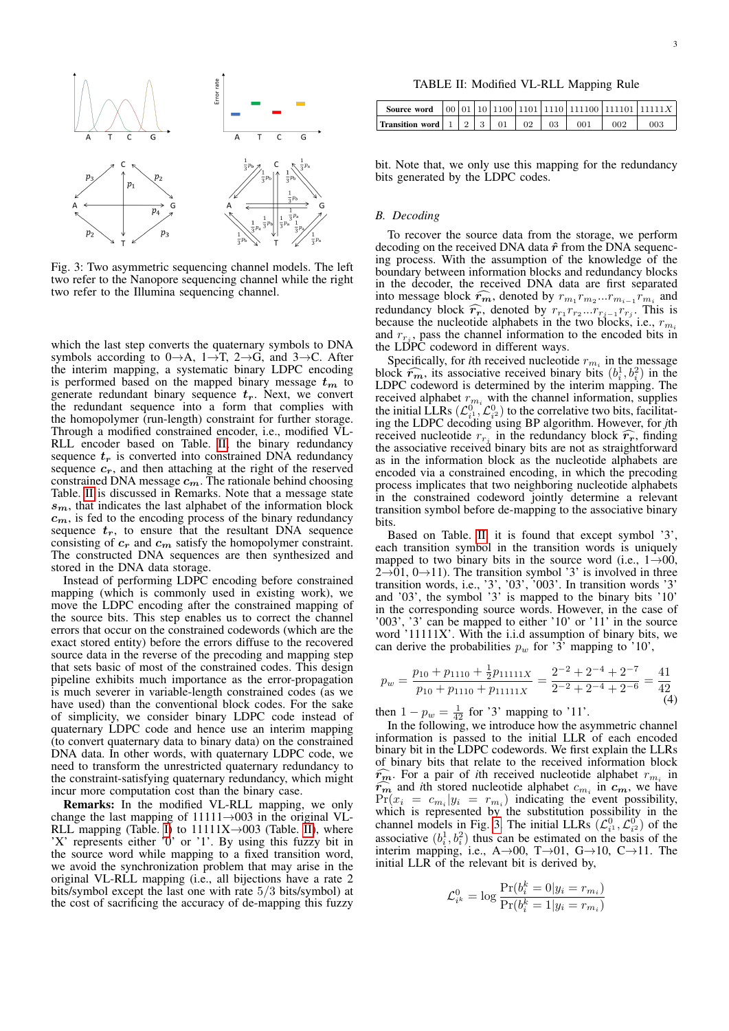<span id="page-2-0"></span>

Fig. 3: Two asymmetric sequencing channel models. The left two refer to the Nanopore sequencing channel while the right two refer to the Illumina sequencing channel.

which the last step converts the quaternary symbols to DNA symbols according to  $0 \rightarrow A$ ,  $1 \rightarrow T$ ,  $2 \rightarrow G$ , and  $3 \rightarrow C$ . After the interim mapping, a systematic binary LDPC encoding is performed based on the mapped binary message  $t_m$  to generate redundant binary sequence  $t_r$ . Next, we convert the redundant sequence into a form that complies with the homopolymer (run-length) constraint for further storage. Through a modified constrained encoder, i.e., modified VL-RLL encoder based on Table. [II,](#page-2-1) the binary redundancy sequence  $t_r$  is converted into constrained DNA redundancy sequence  $c_r$ , and then attaching at the right of the reserved constrained DNA message  $c_m$ . The rationale behind choosing Table. [II](#page-2-1) is discussed in Remarks. Note that a message state  $s<sub>m</sub>$ , that indicates the last alphabet of the information block  $c<sub>m</sub>$ , is fed to the encoding process of the binary redundancy sequence  $t_r$ , to ensure that the resultant DNA sequence consisting of  $c_r$  and  $c_m$  satisfy the homopolymer constraint. The constructed DNA sequences are then synthesized and stored in the DNA data storage.

Instead of performing LDPC encoding before constrained mapping (which is commonly used in existing work), we move the LDPC encoding after the constrained mapping of the source bits. This step enables us to correct the channel errors that occur on the constrained codewords (which are the exact stored entity) before the errors diffuse to the recovered source data in the reverse of the precoding and mapping step that sets basic of most of the constrained codes. This design pipeline exhibits much importance as the error-propagation is much severer in variable-length constrained codes (as we have used) than the conventional block codes. For the sake of simplicity, we consider binary LDPC code instead of quaternary LDPC code and hence use an interim mapping (to convert quaternary data to binary data) on the constrained DNA data. In other words, with quaternary LDPC code, we need to transform the unrestricted quaternary redundancy to the constraint-satisfying quaternary redundancy, which might incur more computation cost than the binary case.

Remarks: In the modified VL-RLL mapping, we only change the last mapping of  $11111 \rightarrow 003$  in the original VL-RLL mapping (Table. [I\)](#page-1-2) to  $11111X \rightarrow 003$  (Table. [II\)](#page-2-1), where 'X' represents either '0' or '1'. By using this fuzzy bit in the source word while mapping to a fixed transition word, we avoid the synchronization problem that may arise in the original VL-RLL mapping (i.e., all bijections have a rate 2 bits/symbol except the last one with rate 5/3 bits/symbol) at the cost of sacrificing the accuracy of de-mapping this fuzzy

TABLE II: Modified VL-RLL Mapping Rule

<span id="page-2-1"></span>

| <b>Transition word</b> $\begin{array}{ c c c c c c c c } \hline 1 & 2 & 3 & 01 & 02 \\\hline \end{array}$ |  |  | 03 | 001 | 002 | 003 |
|-----------------------------------------------------------------------------------------------------------|--|--|----|-----|-----|-----|

bit. Note that, we only use this mapping for the redundancy bits generated by the LDPC codes.

## *B. Decoding*

To recover the source data from the storage, we perform decoding on the received DNA data  $\hat{r}$  from the DNA sequencing process. With the assumption of the knowledge of the boundary between information blocks and redundancy blocks in the decoder, the received DNA data are first separated into message block  $\widehat{r_m}$ , denoted by  $r_{m_1}r_{m_2}...r_{m_{i-1}}r_{m_i}$  and redundancy block  $\widehat{r_m}$  denoted by  $r_{m_1}r_{m_2}...r_{m_i}r_{m_i}$ redundancy block  $\widehat{r_r}$ , denoted by  $r_{r_1}r_{r_2}...r_{r_{j-1}}r_{r_j}$ . This is because the nucleotide alphabets in the two blocks i.e.  $r_{\infty}$ because the nucleotide alphabets in the two blocks, i.e.,  $r_{m_i}$ and  $r_{r_j}$ , pass the channel information to the encoded bits in the LDPC codeword in different ways.

Specifically, for *i*th received nucleotide  $r_{m_i}$  in the message block  $\hat{r}_m$ , its associative received binary bits  $(b_i^1, b_i^2)$  in the LDPC codeword is determined by the interim manning. The LDPC codeword is determined by the interim mapping. The received alphabet  $r_{mi}$  with the channel information, supplies the initial LLRs  $(\mathcal{L}_{i}^0, \mathcal{L}_{i^2}^0)$  to the correlative two bits, facilitating the LDPC decoding using BP algorithm. However, for *j*th received nucleotide  $r_{rj}$  in the redundancy block  $\hat{r}_r$ , finding<br>the associative received binary bits are not as straightforward the associative received binary bits are not as straightforward as in the information block as the nucleotide alphabets are encoded via a constrained encoding, in which the precoding process implicates that two neighboring nucleotide alphabets in the constrained codeword jointly determine a relevant transition symbol before de-mapping to the associative binary bits.

Based on Table. [II,](#page-2-1) it is found that except symbol '3' each transition symbol in the transition words is uniquely mapped to two binary bits in the source word (i.e.,  $1\rightarrow 00$ ,  $2\rightarrow 01$ ,  $0\rightarrow 11$ ). The transition symbol '3' is involved in three transition words, i.e., '3', '03', '003'. In transition words '3' and '03', the symbol '3' is mapped to the binary bits '10' in the corresponding source words. However, in the case of '003', '3' can be mapped to either '10' or '11' in the source word '11111X'. With the i.i.d assumption of binary bits, we can derive the probabilities  $p_w$  for '3' mapping to '10',

<span id="page-2-2"></span>
$$
p_w = \frac{p_{10} + p_{1110} + \frac{1}{2}p_{11111X}}{p_{10} + p_{1110} + p_{11111X}} = \frac{2^{-2} + 2^{-4} + 2^{-7}}{2^{-2} + 2^{-4} + 2^{-6}} = \frac{41}{42}
$$
(4)

then  $1 - p_w = \frac{1}{42}$  for '3' mapping to '11'.

In the following, we introduce how the asymmetric channel information is passed to the initial LLR of each encoded binary bit in the LDPC codewords. We first explain the LLRs of binary bits that relate to the received information block  $\widehat{r_m}$ . For a pair of *i*th received nucleotide alphabet  $r_{m_i}$  in  $\widehat{r_m}$  and *i*th stored nucleotide alphabet  $c_m$  in  $c_m$  we have  $\widehat{r_m}$  and *i*th stored nucleotide alphabet  $c_{m_i}$  in  $c_m$ , we have<br> $Pr(x_i) = c_m | y_i = r_m$  indicating the event possibility  $Pr(x_i = c_{m_i}|y_i = r_{m_i})$  indicating the event possibility, which is represented by the substitution possibility in the channel models in Fig. [3.](#page-2-0) The initial LLRs  $(\mathcal{L}_{i}^0, \mathcal{L}_{i^2}^0)$  of the associative  $(b_i^1, b_i^2)$  thus can be estimated on the basis of the interim mapping, i.e.,  $A \rightarrow 00$ , T $\rightarrow 01$ , G $\rightarrow 10$ , C $\rightarrow 11$ . The initial LLR of the relevant bit is derived by,

$$
\mathcal{L}_{i^k}^0 = \log \frac{\Pr(b_i^k = 0 | y_i = r_{m_i})}{\Pr(b_i^k = 1 | y_i = r_{m_i})}
$$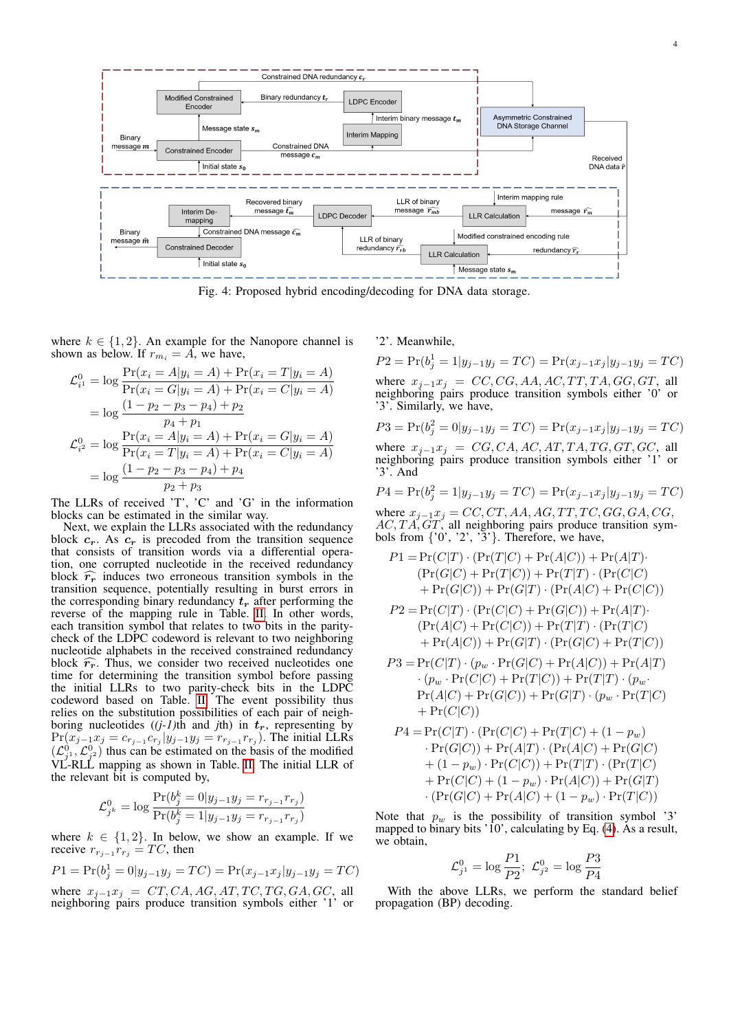<span id="page-3-0"></span>

Fig. 4: Proposed hybrid encoding/decoding for DNA data storage.

where  $k \in \{1, 2\}$ . An example for the Nanopore channel is shown as below. If  $r_{m_i} = A$ , we have,

$$
\mathcal{L}_{i^1}^0 = \log \frac{\Pr(x_i = A | y_i = A) + \Pr(x_i = T | y_i = A)}{\Pr(x_i = G | y_i = A) + \Pr(x_i = C | y_i = A)}
$$
  
= 
$$
\log \frac{(1 - p_2 - p_3 - p_4) + p_2}{p_4 + p_1}
$$
  

$$
\mathcal{L}_{i^2}^0 = \log \frac{\Pr(x_i = A | y_i = A) + \Pr(x_i = G | y_i = A)}{\Pr(x_i = T | y_i = A) + \Pr(x_i = C | y_i = A)}
$$
  
= 
$$
\log \frac{(1 - p_2 - p_3 - p_4) + p_4}{p_2 + p_3}
$$

The LLRs of received 'T', 'C' and 'G' in the information blocks can be estimated in the similar way.

Next, we explain the LLRs associated with the redundancy block  $c_r$ . As  $c_r$  is precoded from the transition sequence that consists of transition words via a differential operation, one corrupted nucleotide in the received redundancy block  $\widehat{r_r}$  induces two erroneous transition symbols in the transition sequence, potentially resulting in burst errors in the corresponding binary redundancy  $t_r$  after performing the reverse of the mapping rule in Table. [II.](#page-2-1) In other words, each transition symbol that relates to two bits in the paritycheck of the LDPC codeword is relevant to two neighboring nucleotide alphabets in the received constrained redundancy block  $\hat{r}_r$ . Thus, we consider two received nucleotides one time for determining the transition symbol before passing the initial LLRs to two parity-check bits in the LDPC codeword based on Table. [II.](#page-2-1) The event possibility thus relies on the substitution possibilities of each pair of neighboring nucleotides  $((j-1)$ th and *j*th) in  $t_r$ , representing by  $Pr(x_{j-1}x_j = c_{r_{j-1}}c_{r_j}|y_{j-1}y_j = r_{r_{j-1}}r_{r_j})$ . The initial LLRs  $(\mathcal{L}_{j}^0, \mathcal{L}_{j^2}^0)$  thus can be estimated on the basis of the modified VL-RLL mapping as shown in Table. [II.](#page-2-1) The initial LLR of the relevant bit is computed by,

$$
\mathcal{L}_{j^k}^0 = \log \frac{\Pr(b_j^k = 0 | y_{j-1} y_j = r_{r_{j-1}} r_{r_j})}{\Pr(b_j^k = 1 | y_{j-1} y_j = r_{r_{j-1}} r_{r_j})}
$$

where  $k \in \{1, 2\}$ . In below, we show an example. If we receive  $r_{r_{j-1}}r_{r_j} = TC$ , then

$$
P1 = \Pr(b_j^1 = 0 | y_{j-1} y_j = TC) = \Pr(x_{j-1} x_j | y_{j-1} y_j = TC)
$$

where  $x_{j-1}x_j = CT, CA, AG, AT, TC, TG, GA, GC, all$ neighboring pairs produce transition symbols either '1' or

'2'. Meanwhile,

 $P2 = \Pr(b_j^1 = 1|y_{j-1}y_j = TC) = \Pr(x_{j-1}x_j|y_{j-1}y_j = TC)$ where  $x_{j-1}x_j = CC, CG, AA, AC, TT, TA, GG, GT, all$ neighboring pairs produce transition symbols either '0' or '3'. Similarly, we have,

$$
P3 = \Pr(b_j^2 = 0 | y_{j-1} y_j = TC) = \Pr(x_{j-1} x_j | y_{j-1} y_j = TC)
$$
  
where  $x_{j-1} x_j = CG, CA, AC, AT, TA, TG, GT, GC$ , all

neighboring pairs produce transition symbols either '1' or '3'. And

$$
P4 = \Pr(b_j^2 = 1 | y_{j-1} y_j = TC) = \Pr(x_{j-1} x_j | y_{j-1} y_j = TC)
$$

where  $x_{j-1}x_j = CC, CT, AA, AG, TT, TC, GG, GA, CG,$  $AC, TA, GT$ , all neighboring pairs produce transition symbols from  $\{0, 2, 3\}$ . Therefore, we have,

$$
P1 = \Pr(C|T) \cdot (\Pr(T|C) + \Pr(A|C)) + \Pr(A|T) \cdot (\Pr(G|C) + \Pr(T|C)) + \Pr(T|T) \cdot (\Pr(C|C) + \Pr(G|C)) + \Pr(G|T) \cdot (\Pr(A|C) + \Pr(C|C))
$$
  
\n
$$
P2 = \Pr(C|T) \cdot (\Pr(C|C) + \Pr(G|C)) + \Pr(A|T) \cdot (\Pr(A|C) + \Pr(C|C)) + \Pr(T|T) \cdot (\Pr(T|C) + \Pr(A|C)) + \Pr(G|T) \cdot (\Pr(G|C) + \Pr(T|C))
$$

$$
P3 = \Pr(C|T) \cdot (p_w \cdot \Pr(G|C) + \Pr(A|C)) + \Pr(A|T)
$$
  
\n
$$
\cdot (p_w \cdot \Pr(C|C) + \Pr(T|C)) + \Pr(T|T) \cdot (p_w \cdot \Pr(A|C) + \Pr(G|C)) + \Pr(G|T) \cdot (p_w \cdot \Pr(T|C) + \Pr(C|C))
$$

$$
P4 = \Pr(C|T) \cdot (\Pr(C|C) + \Pr(T|C) + (1 - p_w) \n\cdot \Pr(G|C)) + \Pr(A|T) \cdot (\Pr(A|C) + \Pr(G|C) \n+ (1 - p_w) \cdot \Pr(C|C)) + \Pr(T|T) \cdot (\Pr(T|C) \n+ \Pr(C|C) + (1 - p_w) \cdot \Pr(A|C)) + \Pr(G|T) \n\cdot (\Pr(G|C) + \Pr(A|C) + (1 - p_w) \cdot \Pr(T|C))
$$

Note that  $p_w$  is the possibility of transition symbol '3' mapped to binary bits '10', calculating by Eq. [\(4\)](#page-2-2). As a result, we obtain,

$$
\mathcal{L}_{j^1}^0 = \log \frac{P1}{P2}; \ \mathcal{L}_{j^2}^0 = \log \frac{P3}{P4}
$$

With the above LLRs, we perform the standard belief propagation (BP) decoding.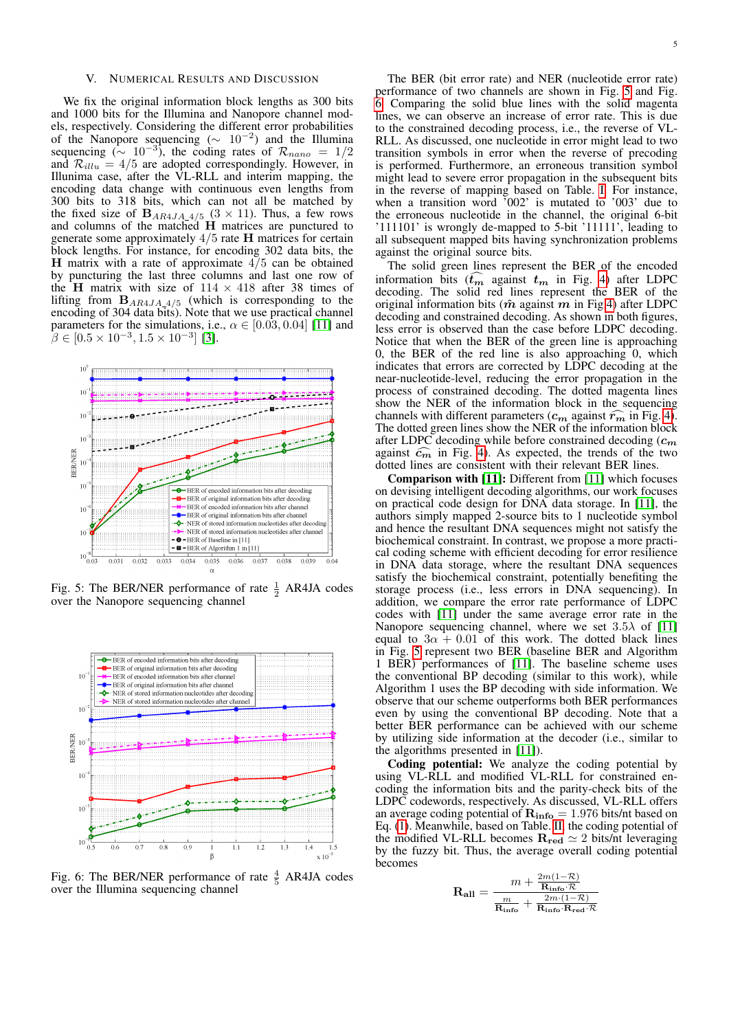## **NUMERICAL RESULTS AND DISCUSSION**

We fix the original information block lengths as 300 bits and 1000 bits for the Illumina and Nanopore channel models, respectively. Considering the different error probabilities of the Nanopore sequencing  $(\sim 10^{-2})$  and the Illumina sequencing ( $\sim 10^{-3}$ ), the coding rates of  $\mathcal{R}_{nano} = 1/2$ and  $\mathcal{R}_{illu} = 4/5$  are adopted correspondingly. However, in Illunima case, after the VL-RLL and interim mapping, the encoding data change with continuous even lengths from 300 bits to 318 bits, which can not all be matched by the fixed size of  $B_{AR4JA\_4/5}$  (3 × 11). Thus, a few rows and columns of the matched H matrices are punctured to generate some approximately 4/5 rate H matrices for certain block lengths. For instance, for encoding 302 data bits, the H matrix with a rate of approximate  $4/5$  can be obtained by puncturing the last three columns and last one row of the H matrix with size of  $114 \times 418$  after 38 times of lifting from  $B_{AR4JA_4/5}$  (which is corresponding to the encoding of 304 data bits). Note that we use practical channel parameters for the simulations, i.e.,  $\alpha \in [0.03, 0.04]$  [\[11\]](#page-5-10) and  $\beta \in [0.5 \times 10^{-3}, 1.5 \times 10^{-3}]$  [\[3\]](#page-5-2).

<span id="page-4-0"></span>

Fig. 5: The BER/NER performance of rate  $\frac{1}{2}$  AR4JA codes over the Nanopore sequencing channel

<span id="page-4-1"></span>

Fig. 6: The BER/NER performance of rate  $\frac{4}{5}$ AR4JA codes over the Illumina sequencing channel

The BER (bit error rate) and NER (nucleotide error rate) performance of two channels are shown in Fig. [5](#page-4-0) and Fig. [6.](#page-4-1) Comparing the solid blue lines with the solid magenta lines, we can observe an increase of error rate. This is due to the constrained decoding process, i.e., the reverse of VL-RLL. As discussed, one nucleotide in error might lead to two transition symbols in error when the reverse of precoding is performed. Furthermore, an erroneous transition symbol might lead to severe error propagation in the subsequent bits in the reverse of mapping based on Table. [I.](#page-1-2) For instance, when a transition word '002' is mutated to '003' due to the erroneous nucleotide in the channel, the original 6-bit '111101' is wrongly de-mapped to 5-bit '11111', leading to all subsequent mapped bits having synchronization problems against the original source bits.

The solid green lines represent the BER of the encoded information bits  $(t_m$  against  $t_m$  in Fig. [4\)](#page-3-0) after LDPC decoding. The solid red lines represent the BER of the original information bits ( $\hat{m}$  against m in Fig[.4\)](#page-3-0) after LDPC decoding and constrained decoding. As shown in both figures, less error is observed than the case before LDPC decoding. Notice that when the BER of the green line is approaching 0, the BER of the red line is also approaching  $\overline{0}$ , which indicates that errors are corrected by LDPC decoding at the near-nucleotide-level, reducing the error propagation in the process of constrained decoding. The dotted magenta lines show the NER of the information block in the sequencing channels with different parameters ( $c_m$  against  $\widehat{r_m}$  in Fig. [4\)](#page-3-0). The dotted green lines show the NER of the information block after LDPC decoding while before constrained decoding  $(c_m)$ against  $\widehat{c_m}$  in Fig. [4\)](#page-3-0). As expected, the trends of the two dotted lines are consistent with their relevant BER lines.

Comparison with [\[11\]](#page-5-10): Different from [\[11\]](#page-5-10) which focuses on devising intelligent decoding algorithms, our work focuses on practical code design for DNA data storage. In [\[11\]](#page-5-10), the authors simply mapped 2-source bits to 1 nucleotide symbol and hence the resultant DNA sequences might not satisfy the biochemical constraint. In contrast, we propose a more practical coding scheme with efficient decoding for error resilience in DNA data storage, where the resultant DNA sequences satisfy the biochemical constraint, potentially benefiting the storage process (i.e., less errors in DNA sequencing). In addition, we compare the error rate performance of LDPC codes with [\[11\]](#page-5-10) under the same average error rate in the Nanopore sequencing channel, where we set  $3.5\lambda$  of [\[11\]](#page-5-10) equal to  $3\alpha + 0.01$  of this work. The dotted black lines in Fig. [5](#page-4-0) represent two BER (baseline BER and Algorithm 1 BER) performances of [\[11\]](#page-5-10). The baseline scheme uses the conventional BP decoding (similar to this work), while Algorithm 1 uses the BP decoding with side information. We observe that our scheme outperforms both BER performances even by using the conventional BP decoding. Note that a better BER performance can be achieved with our scheme by utilizing side information at the decoder (i.e., similar to the algorithms presented in [\[11\]](#page-5-10)).

Coding potential: We analyze the coding potential by using VL-RLL and modified VL-RLL for constrained encoding the information bits and the parity-check bits of the LDPC codewords, respectively. As discussed, VL-RLL offers an average coding potential of  $R_{info} = 1.976$  bits/nt based on Eq. [\(1\)](#page-1-6). Meanwhile, based on Table. [II,](#page-2-1) the coding potential of the modified VL-RLL becomes  $\mathbf{R}_{\text{red}} \simeq 2$  bits/nt leveraging by the fuzzy bit. Thus, the average overall coding potential becomes

$$
\mathbf{R_{all}} = \frac{m + \frac{2m(1-\mathcal{R})}{\mathbf{R_{info}}\cdot\mathcal{R}}}{\frac{m}{\mathbf{R_{info}}} + \frac{2m\cdot(1-\mathcal{R})}{\mathbf{R_{info}}\cdot\mathbf{R_{red}}\cdot\mathcal{R}}}
$$